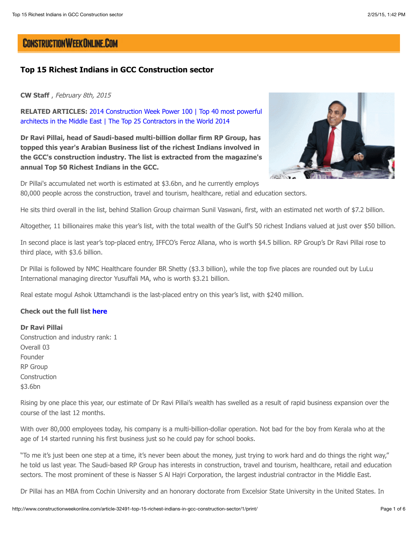# **CONSTRUCTION WEEK ONLINE.COM**

# **Top 15 Richest Indians in GCC Construction sector**

**CW Staff** , February 8th, 2015

**RELATED ARTICLES:** [2014 Construction Week Power 100](http://www.constructionweekonline.com/article-28738-2014-construction-week-power-100/) | Top 40 most powerful [architects in the Middle East | The Top 25 Contractors in the World 2014](http://www.constructionweekonline.com/article-32404-top-40-most-powerful-architects-in-the-middle-east/)

**Dr Ravi Pillai, head of Saudi-based multi-billion dollar firm RP Group, has topped this year's Arabian Business list of the richest Indians involved in the GCC's construction industry. The list is extracted from the magazine's annual Top 50 Richest Indians in the GCC.**



Dr Pillai's accumulated net worth is estimated at \$3.6bn, and he currently employs 80,000 people across the construction, travel and tourism, healthcare, retial and education sectors.

He sits third overall in the list, behind Stallion Group chairman Sunil Vaswani, first, with an estimated net worth of \$7.2 billion.

Altogether, 11 billionaires make this year's list, with the total wealth of the Gulf's 50 richest Indians valued at just over \$50 billion.

In second place is last year's top-placed entry, IFFCO's Feroz Allana, who is worth \$4.5 billion. RP Group's Dr Ravi Pillai rose to third place, with \$3.6 billion.

Dr Pillai is followed by NMC Healthcare founder BR Shetty (\$3.3 billion), while the top five places are rounded out by LuLu International managing director Yusuffali MA, who is worth \$3.21 billion.

Real estate mogul Ashok Uttamchandi is the last-placed entry on this year's list, with \$240 million.

#### **Check out the full list [here](http://www.arabianbusiness.com/revealed-50-richest-indians-in-gcc-2015-581280.html)**

# **Dr Ravi Pillai**

Construction and industry rank: 1 Overall 03 Founder RP Group Construction \$3.6bn

Rising by one place this year, our estimate of Dr Ravi Pillai's wealth has swelled as a result of rapid business expansion over the course of the last 12 months.

With over 80,000 employees today, his company is a multi-billion-dollar operation. Not bad for the boy from Kerala who at the age of 14 started running his first business just so he could pay for school books.

"To me it's just been one step at a time, it's never been about the money, just trying to work hard and do things the right way," he told us last year. The Saudi-based RP Group has interests in construction, travel and tourism, healthcare, retail and education sectors. The most prominent of these is Nasser S Al Hajri Corporation, the largest industrial contractor in the Middle East.

Dr Pillai has an MBA from Cochin University and an honorary doctorate from Excelsior State University in the United States. In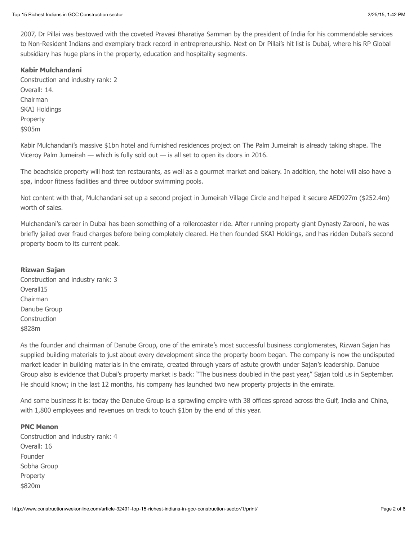2007, Dr Pillai was bestowed with the coveted Pravasi Bharatiya Samman by the president of India for his commendable services to Non-Resident Indians and exemplary track record in entrepreneurship. Next on Dr Pillai's hit list is Dubai, where his RP Global subsidiary has huge plans in the property, education and hospitality segments.

#### **Kabir Mulchandani**

Construction and industry rank: 2 Overall: 14. Chairman SKAI Holdings Property \$905m

Kabir Mulchandani's massive \$1bn hotel and furnished residences project on The Palm Jumeirah is already taking shape. The Viceroy Palm Jumeirah — which is fully sold out — is all set to open its doors in 2016.

The beachside property will host ten restaurants, as well as a gourmet market and bakery. In addition, the hotel will also have a spa, indoor fitness facilities and three outdoor swimming pools.

Not content with that, Mulchandani set up a second project in Jumeirah Village Circle and helped it secure AED927m (\$252.4m) worth of sales.

Mulchandani's career in Dubai has been something of a rollercoaster ride. After running property giant Dynasty Zarooni, he was briefly jailed over fraud charges before being completely cleared. He then founded SKAI Holdings, and has ridden Dubai's second property boom to its current peak.

#### **Rizwan Sajan**

Construction and industry rank: 3 Overall15 Chairman Danube Group Construction \$828m

As the founder and chairman of Danube Group, one of the emirate's most successful business conglomerates, Rizwan Sajan has supplied building materials to just about every development since the property boom began. The company is now the undisputed market leader in building materials in the emirate, created through years of astute growth under Sajan's leadership. Danube Group also is evidence that Dubai's property market is back: "The business doubled in the past year," Sajan told us in September. He should know; in the last 12 months, his company has launched two new property projects in the emirate.

And some business it is: today the Danube Group is a sprawling empire with 38 offices spread across the Gulf, India and China, with 1,800 employees and revenues on track to touch \$1bn by the end of this year.

#### **PNC Menon**

Construction and industry rank: 4 Overall: 16 Founder Sobha Group Property \$820m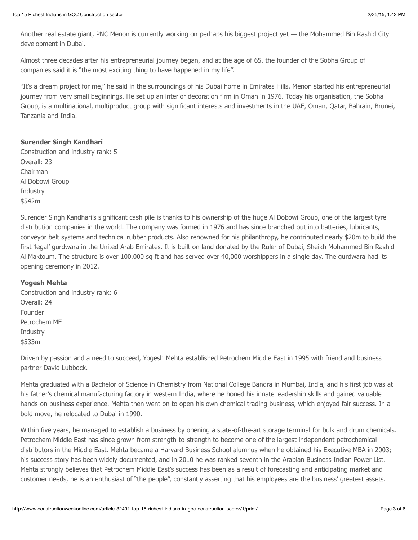Another real estate giant, PNC Menon is currently working on perhaps his biggest project yet — the Mohammed Bin Rashid City development in Dubai.

Almost three decades after his entrepreneurial journey began, and at the age of 65, the founder of the Sobha Group of companies said it is "the most exciting thing to have happened in my life".

"It's a dream project for me," he said in the surroundings of his Dubai home in Emirates Hills. Menon started his entrepreneurial journey from very small beginnings. He set up an interior decoration firm in Oman in 1976. Today his organisation, the Sobha Group, is a multinational, multiproduct group with significant interests and investments in the UAE, Oman, Qatar, Bahrain, Brunei, Tanzania and India.

# **Surender Singh Kandhari**

Construction and industry rank: 5 Overall: 23 Chairman Al Dobowi Group **Industry** \$542m

Surender Singh Kandhari's significant cash pile is thanks to his ownership of the huge Al Dobowi Group, one of the largest tyre distribution companies in the world. The company was formed in 1976 and has since branched out into batteries, lubricants, conveyor belt systems and technical rubber products. Also renowned for his philanthropy, he contributed nearly \$20m to build the first 'legal' gurdwara in the United Arab Emirates. It is built on land donated by the Ruler of Dubai, Sheikh Mohammed Bin Rashid Al Maktoum. The structure is over 100,000 sq ft and has served over 40,000 worshippers in a single day. The gurdwara had its opening ceremony in 2012.

# **Yogesh Mehta**

Construction and industry rank: 6 Overall: 24 Founder Petrochem ME Industry \$533m

Driven by passion and a need to succeed, Yogesh Mehta established Petrochem Middle East in 1995 with friend and business partner David Lubbock.

Mehta graduated with a Bachelor of Science in Chemistry from National College Bandra in Mumbai, India, and his first job was at his father's chemical manufacturing factory in western India, where he honed his innate leadership skills and gained valuable hands-on business experience. Mehta then went on to open his own chemical trading business, which enjoyed fair success. In a bold move, he relocated to Dubai in 1990.

Within five years, he managed to establish a business by opening a state-of-the-art storage terminal for bulk and drum chemicals. Petrochem Middle East has since grown from strength-to-strength to become one of the largest independent petrochemical distributors in the Middle East. Mehta became a Harvard Business School alumnus when he obtained his Executive MBA in 2003; his success story has been widely documented, and in 2010 he was ranked seventh in the Arabian Business Indian Power List. Mehta strongly believes that Petrochem Middle East's success has been as a result of forecasting and anticipating market and customer needs, he is an enthusiast of "the people", constantly asserting that his employees are the business' greatest assets.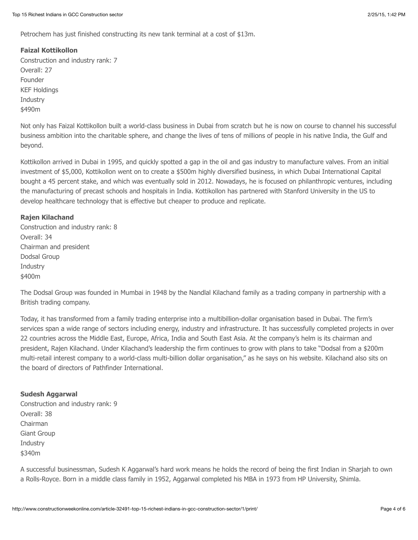Petrochem has just finished constructing its new tank terminal at a cost of \$13m.

# **Faizal Kottikollon**

Construction and industry rank: 7 Overall: 27 Founder KEF Holdings **Industry** \$490m

Not only has Faizal Kottikollon built a world-class business in Dubai from scratch but he is now on course to channel his successful business ambition into the charitable sphere, and change the lives of tens of millions of people in his native India, the Gulf and beyond.

Kottikollon arrived in Dubai in 1995, and quickly spotted a gap in the oil and gas industry to manufacture valves. From an initial investment of \$5,000, Kottikollon went on to create a \$500m highly diversified business, in which Dubai International Capital bought a 45 percent stake, and which was eventually sold in 2012. Nowadays, he is focused on philanthropic ventures, including the manufacturing of precast schools and hospitals in India. Kottikollon has partnered with Stanford University in the US to develop healthcare technology that is effective but cheaper to produce and replicate.

# **Rajen Kilachand**

Construction and industry rank: 8 Overall: 34 Chairman and president Dodsal Group Industry \$400m

The Dodsal Group was founded in Mumbai in 1948 by the Nandlal Kilachand family as a trading company in partnership with a British trading company.

Today, it has transformed from a family trading enterprise into a multibillion-dollar organisation based in Dubai. The firm's services span a wide range of sectors including energy, industry and infrastructure. It has successfully completed projects in over 22 countries across the Middle East, Europe, Africa, India and South East Asia. At the company's helm is its chairman and president, Rajen Kilachand. Under Kilachand's leadership the firm continues to grow with plans to take "Dodsal from a \$200m multi-retail interest company to a world-class multi-billion dollar organisation," as he says on his website. Kilachand also sits on the board of directors of Pathfinder International.

# **Sudesh Aggarwal**

Construction and industry rank: 9 Overall: 38 Chairman Giant Group Industry \$340m

A successful businessman, Sudesh K Aggarwal's hard work means he holds the record of being the first Indian in Sharjah to own a Rolls-Royce. Born in a middle class family in 1952, Aggarwal completed his MBA in 1973 from HP University, Shimla.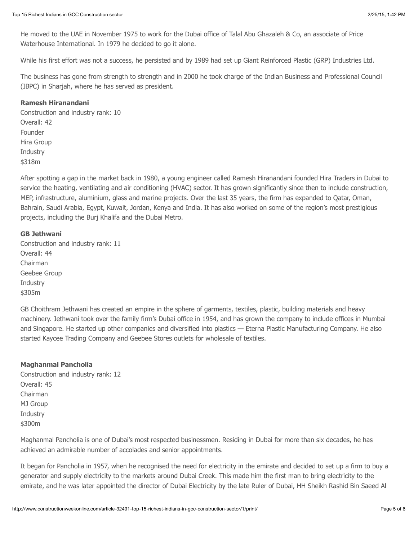He moved to the UAE in November 1975 to work for the Dubai office of Talal Abu Ghazaleh & Co, an associate of Price Waterhouse International. In 1979 he decided to go it alone.

While his first effort was not a success, he persisted and by 1989 had set up Giant Reinforced Plastic (GRP) Industries Ltd.

The business has gone from strength to strength and in 2000 he took charge of the Indian Business and Professional Council (IBPC) in Sharjah, where he has served as president.

#### **Ramesh Hiranandani**

Construction and industry rank: 10 Overall: 42 Founder Hira Group Industry \$318m

After spotting a gap in the market back in 1980, a young engineer called Ramesh Hiranandani founded Hira Traders in Dubai to service the heating, ventilating and air conditioning (HVAC) sector. It has grown significantly since then to include construction, MEP, infrastructure, aluminium, glass and marine projects. Over the last 35 years, the firm has expanded to Qatar, Oman, Bahrain, Saudi Arabia, Egypt, Kuwait, Jordan, Kenya and India. It has also worked on some of the region's most prestigious projects, including the Burj Khalifa and the Dubai Metro.

#### **GB Jethwani**

Construction and industry rank: 11 Overall: 44 Chairman Geebee Group Industry \$305m

GB Choithram Jethwani has created an empire in the sphere of garments, textiles, plastic, building materials and heavy machinery. Jethwani took over the family firm's Dubai office in 1954, and has grown the company to include offices in Mumbai and Singapore. He started up other companies and diversified into plastics — Eterna Plastic Manufacturing Company. He also started Kaycee Trading Company and Geebee Stores outlets for wholesale of textiles.

# **Maghanmal Pancholia**

Construction and industry rank: 12 Overall: 45 Chairman MJ Group Industry \$300m

Maghanmal Pancholia is one of Dubai's most respected businessmen. Residing in Dubai for more than six decades, he has achieved an admirable number of accolades and senior appointments.

It began for Pancholia in 1957, when he recognised the need for electricity in the emirate and decided to set up a firm to buy a generator and supply electricity to the markets around Dubai Creek. This made him the first man to bring electricity to the emirate, and he was later appointed the director of Dubai Electricity by the late Ruler of Dubai, HH Sheikh Rashid Bin Saeed Al